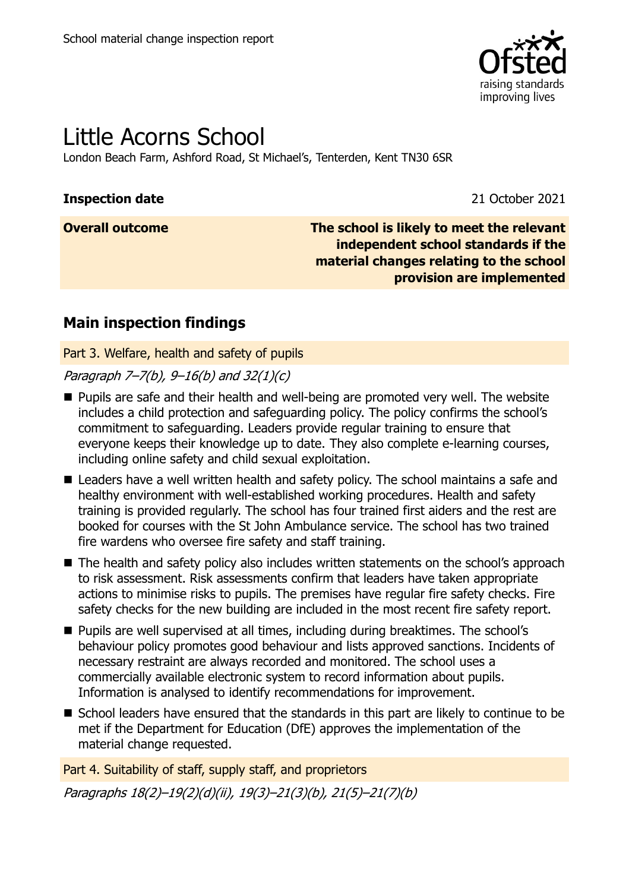

# Little Acorns School

London Beach Farm, Ashford Road, St Michael's, Tenterden, Kent TN30 6SR

### **Inspection date** 2021

**Overall outcome The school is likely to meet the relevant independent school standards if the material changes relating to the school provision are implemented**

### **Main inspection findings**

Part 3. Welfare, health and safety of pupils

Paragraph 7–7(b),  $9-16(b)$  and 32(1)(c)

- **Pupils are safe and their health and well-being are promoted very well. The website** includes a child protection and safeguarding policy. The policy confirms the school's commitment to safeguarding. Leaders provide regular training to ensure that everyone keeps their knowledge up to date. They also complete e-learning courses, including online safety and child sexual exploitation.
- Leaders have a well written health and safety policy. The school maintains a safe and healthy environment with well-established working procedures. Health and safety training is provided regularly. The school has four trained first aiders and the rest are booked for courses with the St John Ambulance service. The school has two trained fire wardens who oversee fire safety and staff training.
- The health and safety policy also includes written statements on the school's approach to risk assessment. Risk assessments confirm that leaders have taken appropriate actions to minimise risks to pupils. The premises have regular fire safety checks. Fire safety checks for the new building are included in the most recent fire safety report.
- **Pupils are well supervised at all times, including during breaktimes. The school's** behaviour policy promotes good behaviour and lists approved sanctions. Incidents of necessary restraint are always recorded and monitored. The school uses a commercially available electronic system to record information about pupils. Information is analysed to identify recommendations for improvement.
- School leaders have ensured that the standards in this part are likely to continue to be met if the Department for Education (DfE) approves the implementation of the material change requested.

Part 4. Suitability of staff, supply staff, and proprietors Paragraphs 18(2)–19(2)(d)(ii), 19(3)–21(3)(b), 21(5)–21(7)(b)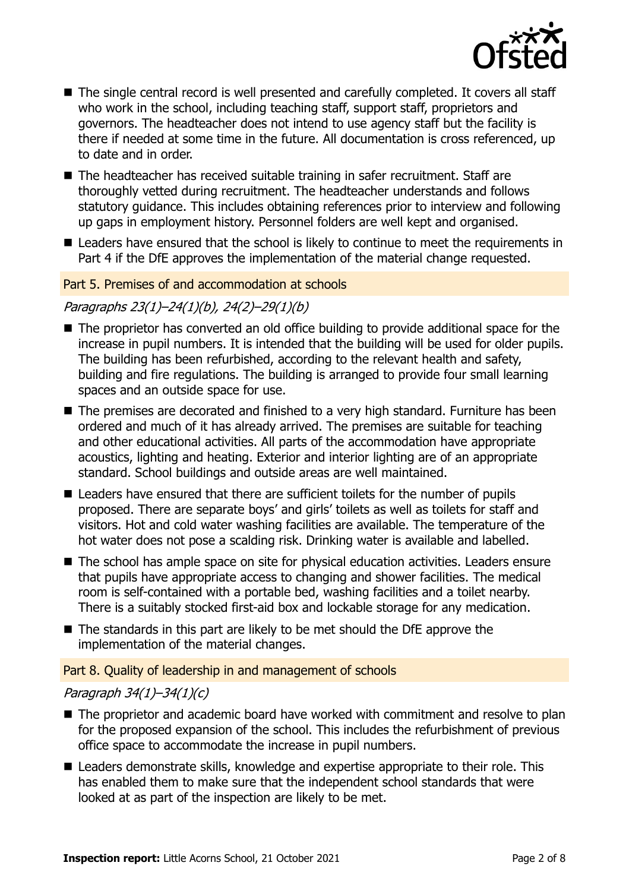

- The single central record is well presented and carefully completed. It covers all staff who work in the school, including teaching staff, support staff, proprietors and governors. The headteacher does not intend to use agency staff but the facility is there if needed at some time in the future. All documentation is cross referenced, up to date and in order.
- The headteacher has received suitable training in safer recruitment. Staff are thoroughly vetted during recruitment. The headteacher understands and follows statutory guidance. This includes obtaining references prior to interview and following up gaps in employment history. Personnel folders are well kept and organised.
- Leaders have ensured that the school is likely to continue to meet the requirements in Part 4 if the DfE approves the implementation of the material change requested.

#### Part 5. Premises of and accommodation at schools

### Paragraphs 23(1)–24(1)(b), 24(2)–29(1)(b)

- The proprietor has converted an old office building to provide additional space for the increase in pupil numbers. It is intended that the building will be used for older pupils. The building has been refurbished, according to the relevant health and safety, building and fire regulations. The building is arranged to provide four small learning spaces and an outside space for use.
- The premises are decorated and finished to a very high standard. Furniture has been ordered and much of it has already arrived. The premises are suitable for teaching and other educational activities. All parts of the accommodation have appropriate acoustics, lighting and heating. Exterior and interior lighting are of an appropriate standard. School buildings and outside areas are well maintained.
- Leaders have ensured that there are sufficient toilets for the number of pupils proposed. There are separate boys' and girls' toilets as well as toilets for staff and visitors. Hot and cold water washing facilities are available. The temperature of the hot water does not pose a scalding risk. Drinking water is available and labelled.
- The school has ample space on site for physical education activities. Leaders ensure that pupils have appropriate access to changing and shower facilities. The medical room is self-contained with a portable bed, washing facilities and a toilet nearby. There is a suitably stocked first-aid box and lockable storage for any medication.
- The standards in this part are likely to be met should the DfE approve the implementation of the material changes.

### Part 8. Quality of leadership in and management of schools

#### Paragraph 34(1)–34(1)(c)

- The proprietor and academic board have worked with commitment and resolve to plan for the proposed expansion of the school. This includes the refurbishment of previous office space to accommodate the increase in pupil numbers.
- Leaders demonstrate skills, knowledge and expertise appropriate to their role. This has enabled them to make sure that the independent school standards that were looked at as part of the inspection are likely to be met.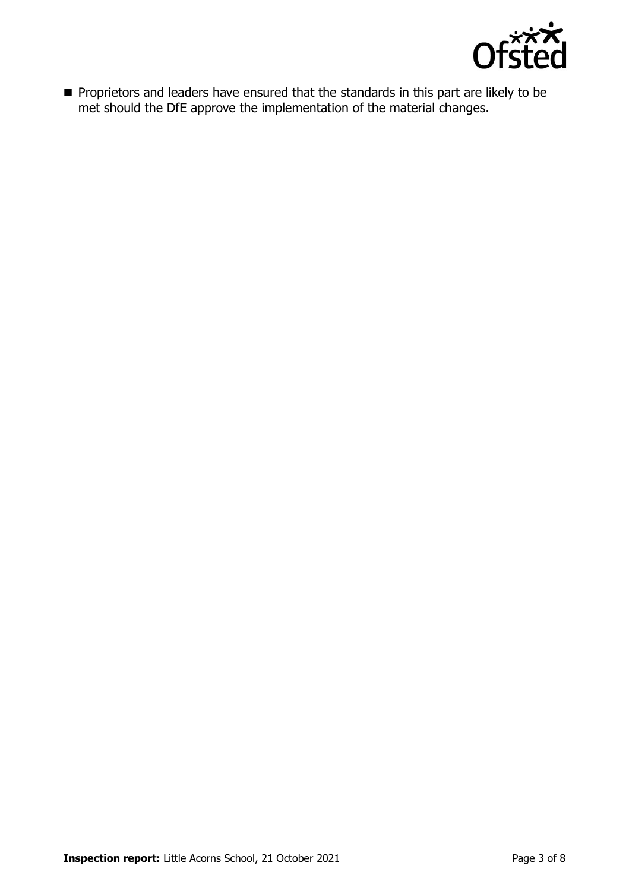

**Proprietors and leaders have ensured that the standards in this part are likely to be** met should the DfE approve the implementation of the material changes.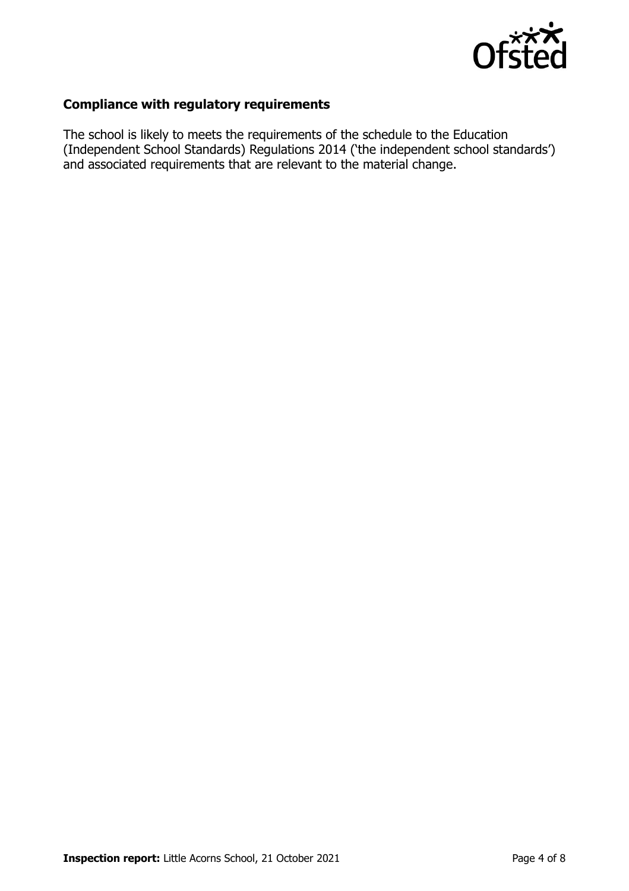

### **Compliance with regulatory requirements**

The school is likely to meets the requirements of the schedule to the Education (Independent School Standards) Regulations 2014 ('the independent school standards') and associated requirements that are relevant to the material change.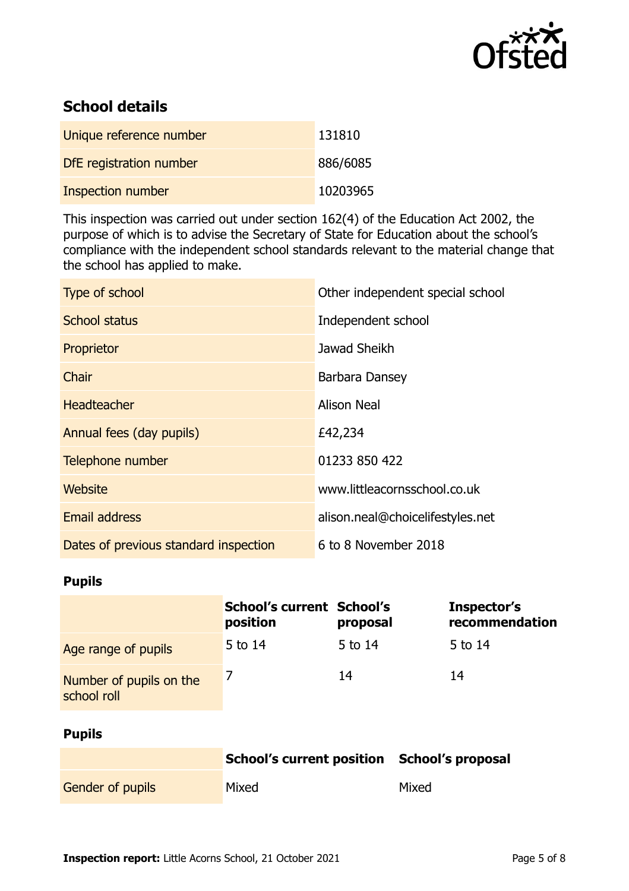

## **School details**

| Unique reference number | 131810   |
|-------------------------|----------|
| DfE registration number | 886/6085 |
| Inspection number       | 10203965 |

This inspection was carried out under section 162(4) of the Education Act 2002, the purpose of which is to advise the Secretary of State for Education about the school's compliance with the independent school standards relevant to the material change that the school has applied to make.

| Type of school                        | Other independent special school |
|---------------------------------------|----------------------------------|
| <b>School status</b>                  | Independent school               |
| Proprietor                            | Jawad Sheikh                     |
| Chair                                 | Barbara Dansey                   |
| <b>Headteacher</b>                    | <b>Alison Neal</b>               |
| Annual fees (day pupils)              | £42,234                          |
| Telephone number                      | 01233 850 422                    |
| Website                               | www.littleacornsschool.co.uk     |
| <b>Email address</b>                  | alison.neal@choicelifestyles.net |
| Dates of previous standard inspection | 6 to 8 November 2018             |

### **Pupils**

|                                        | School's current School's<br>position | proposal | Inspector's<br>recommendation |
|----------------------------------------|---------------------------------------|----------|-------------------------------|
| Age range of pupils                    | 5 to 14                               | 5 to 14  | 5 to 14                       |
| Number of pupils on the<br>school roll |                                       | 14       | 14                            |

### **Pupils**

|                         | School's current position School's proposal |       |
|-------------------------|---------------------------------------------|-------|
| <b>Gender of pupils</b> | Mixed                                       | Mixed |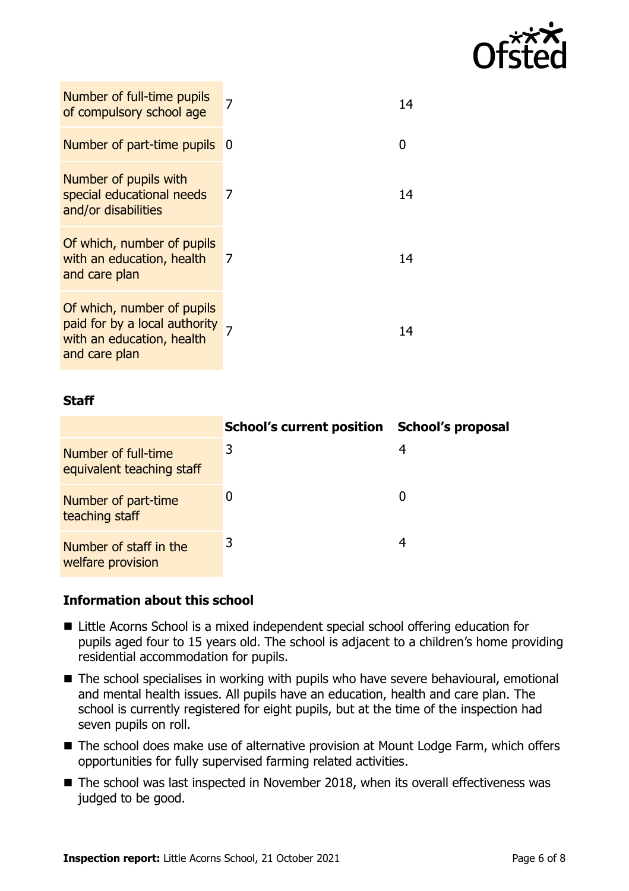

| Number of full-time pupils<br>of compulsory school age                                                    | 7  | 14 |
|-----------------------------------------------------------------------------------------------------------|----|----|
| Number of part-time pupils                                                                                | -0 |    |
| Number of pupils with<br>special educational needs<br>and/or disabilities                                 | 7  | 14 |
| Of which, number of pupils<br>with an education, health<br>and care plan                                  | 7  | 14 |
| Of which, number of pupils<br>paid for by a local authority<br>with an education, health<br>and care plan |    | 14 |

### **Staff**

|                                                  | <b>School's current position</b> | <b>School's proposal</b> |
|--------------------------------------------------|----------------------------------|--------------------------|
| Number of full-time<br>equivalent teaching staff | 3                                | 4                        |
| Number of part-time<br>teaching staff            |                                  |                          |
| Number of staff in the<br>welfare provision      | 3                                | 4                        |

### **Information about this school**

- Little Acorns School is a mixed independent special school offering education for pupils aged four to 15 years old. The school is adjacent to a children's home providing residential accommodation for pupils.
- The school specialises in working with pupils who have severe behavioural, emotional and mental health issues. All pupils have an education, health and care plan. The school is currently registered for eight pupils, but at the time of the inspection had seven pupils on roll.
- The school does make use of alternative provision at Mount Lodge Farm, which offers opportunities for fully supervised farming related activities.
- The school was last inspected in November 2018, when its overall effectiveness was judged to be good.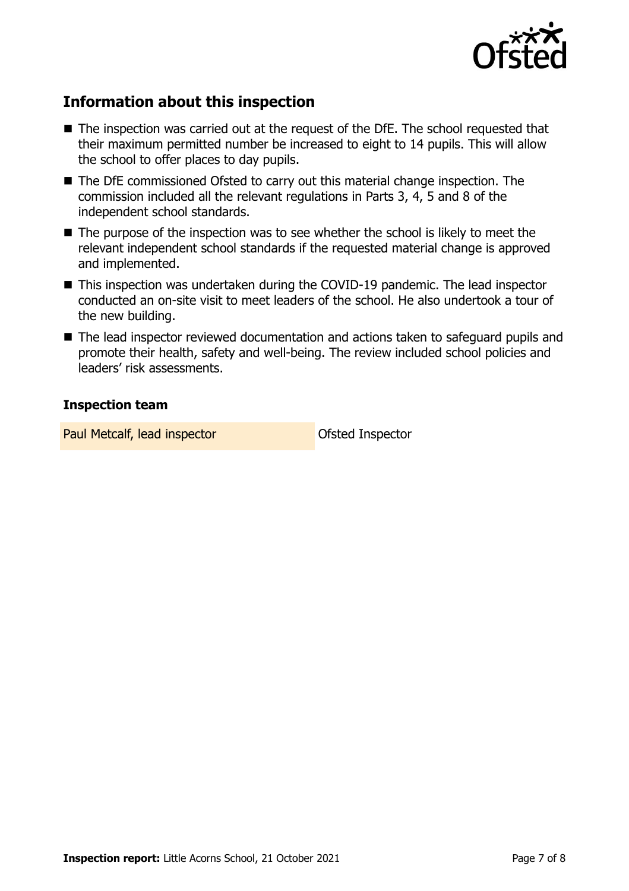

### **Information about this inspection**

- The inspection was carried out at the request of the DfE. The school requested that their maximum permitted number be increased to eight to 14 pupils. This will allow the school to offer places to day pupils.
- The DfE commissioned Ofsted to carry out this material change inspection. The commission included all the relevant regulations in Parts 3, 4, 5 and 8 of the independent school standards.
- $\blacksquare$  The purpose of the inspection was to see whether the school is likely to meet the relevant independent school standards if the requested material change is approved and implemented.
- This inspection was undertaken during the COVID-19 pandemic. The lead inspector conducted an on-site visit to meet leaders of the school. He also undertook a tour of the new building.
- The lead inspector reviewed documentation and actions taken to safeguard pupils and promote their health, safety and well-being. The review included school policies and leaders' risk assessments.

### **Inspection team**

Paul Metcalf, lead inspector and offsted Inspector